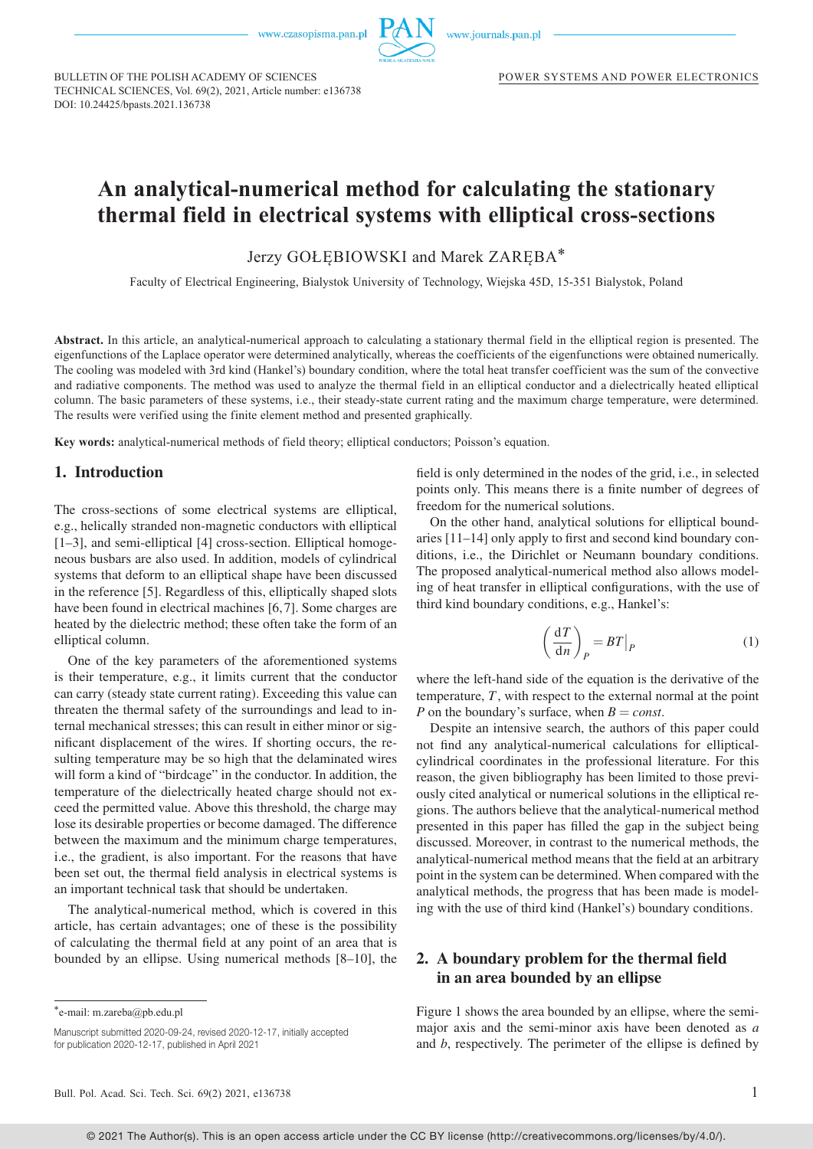

BULLETIN OF THE POLISH ACADEMY OF SCIENCES BULLETIN OF THE POLISH ACADEMY OF SCIENCES TECHNICAL SCIENCES, Vol. 69(2), 2021, Article number: e136738 DOI: 10.24425/bpasts.2021.136738

# **An analytical-numerical method for calculating the stationary thermal field in electrical systems with elliptical cross-sections** thermal field in electrical systems with elliptical cross-sections An analytical-numerical method for calculating the stationary

Jerzy GOŁĘBIOWSKI and Marek ZARĘBA\*

Faculty of Electrical Engineering, Bialystok University of Technology, Wiejska 45D, 15-351 Bialystok, Poland Faculty of Electrical Engineering, Bialystok University of Technology, Wiejska 45D, 15-351 Białystok, Poland

Abstract. In this article, an analytical-numerical approach to calculating a stationary thermal field in the elliptical region is presented. The eigenfunctions of the Laplace operator were determined analytically, whereas the coefficients of the eigenfunctions were obtained numerically. The cooling was modeled with 3rd kind (Hankel's) boundary condition, where the total heat transfer coefficient was the sum of the convective and radiative components. The method was used to analyze the thermal field in an elliptical conductor and a dielectrically heated elliptical column. The basic parameters of these systems, i.e., their steady-state current rating and the maximum charge temperature, were determined. The results were verified using the finite element method and presented graphically. were verified using the finite element method and presented graphically.

**Key words:** analytical-numerical methods of field theory; elliptical conductors; Poisson's equation. Key words: analytical-numerical methods of field theory, elliptical conductors, Poisson's equation.

#### 1. Introduction

The cross-sections of some electrical systems are elliptical, e.g., helically stranded non-magnetic conductors with elliptical [1–3], and semi-elliptical [4] cross-section. Elliptical homogeneous busbars are also used. In addition, models of cylindrical systems that deform to an elliptical shape have been discussed in the reference [5]. Regardless of this, elliptically shaped slots have been found in electrical machines [6,7]. Some charges are heated by the dielectric method; these often take the form of an elliptical column.

One of the key parameters of the aforementioned systems is their temperature, e.g., it limits current that the conductor can carry (steady state current rating). Exceeding this value can threaten the thermal safety of the surroundings and lead to internal mechanical stresses; this can result in either minor or significant displacement of the wires. If shorting occurs, the resulting temperature may be so high that the delaminated wires will form a kind of "birdcage" in the conductor. In addition, the temperature of the dielectrically heated charge should not exceed the permitted value. Above this threshold, the charge may lose its desirable properties or become damaged. The difference between the maximum and the minimum charge temperatures, i.e., the gradient, is also important. For the reasons that have been set out, the thermal field analysis in electrical systems is an important technical task that should be undertaken.

The analytical-numerical method, which is covered in this article, has certain advantages; one of these is the possibility of calculating the thermal field at any point of an area that is bounded by an ellipse. Using numerical methods [8–10], the field is only determined in the nodes of the grid, i.e., in selected points only. This means there is a finite number of degrees of freedom for the numerical solutions.

On the other hand, analytical solutions for elliptical boundaries [11–14] only apply to first and second kind boundary conditions, i.e., the Dirichlet or Neumann boundary conditions. The proposed analytical-numerical method also allows modeling of heat transfer in elliptical configurations, with the use of third kind boundary conditions, e.g., Hankel's:

$$
\left(\frac{\mathrm{d}T}{\mathrm{d}n}\right)_P = BT|_P \tag{1}
$$

where the left-hand side of the equation is the derivative of the temperature, *T*, with respect to the external normal at the point *P* on the boundary's surface, when  $B = const$ .

Despite an intensive search, the authors of this paper could not find any analytical-numerical calculations for ellipticalcylindrical coordinates in the professional literature. For this reason, the given bibliography has been limited to those previously cited analytical or numerical solutions in the elliptical regions. The authors believe that the analytical-numerical method presented in this paper has filled the gap in the subject being discussed. Moreover, in contrast to the numerical methods, the analytical-numerical method means that the field at an arbitrary point in the system can be determined. When compared with the analytical methods, the progress that has been made is modeling with the use of third kind (Hankel's) boundary conditions.

### 2. A boundary problem for the thermal field in an area bounded by an ellipse

Figure 1 shows the area bounded by an ellipse, where the semimajor axis and the semi-minor axis have been denoted as *a* and *b*, respectively. The perimeter of the ellipse is defined by

<sup>\*</sup>e-mail: m.zareba@pb.edu.pl ∗e-mail: m.zareba@pb.edu.pl

Manuscript submitted 2020-09-24, revised 2020-12-17, initially accepted for publication 2020-12-17, published in April 2021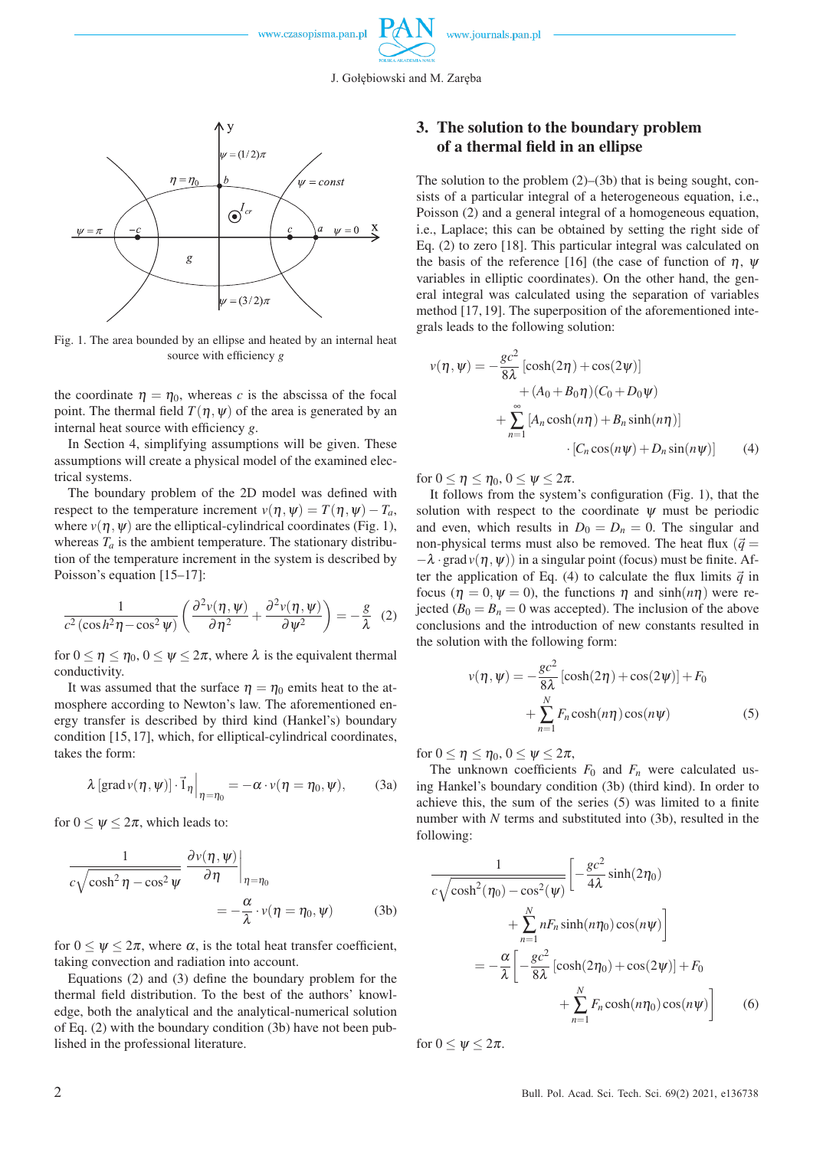

J. Gołębiowski and M. Zaręba



Fig. 1. The area bounded by an ellipse and heated by an internal heat Fig. 1. The area bounded by an ellipse and heated by an internal heat Fig. 1. The area bounded by an ellipse and heated by an internal heat source with efficiency *g* source with efficiency *g* source with efficiency *g*

the coordinate  $\eta = \eta_0$ , whereas *c* is the abscissa of the focal point. The thermal field  $T(\eta, \psi)$  of the area is generated by an internal heat source with efficiency *g*. internal heat source with efficiency *g*. internal heat source with efficiency *g*.

In Section 4, simplifying assumptions will be given. These In Section 4, simplifying assumptions will be given. These In Section 4, simplifying assumptions will be given. These assumptions will create a physical model of the examined electrical systems. trical systems. trical systems.

The boundary problem of the 2D model was defined with It for respect to the temperature increment  $v(\eta, \psi) = T(\eta, \psi) - T_a$ , solution where  $v(\eta, \psi)$  are the elliptical-cylindrical coordinates (Fig. 1), and e whereas  $T_a$  is the ambient temperature. The stationary distribu-<br>non-pl tion of the temperature increment in the system is described by  $-\lambda \cdot g$ Poisson's equation [15–17]: Poisson's equation [15–17]: Poisson's equation [15–17]:

$$
\frac{1}{c^2(\cos h^2 \eta - \cos^2 \psi)} \left( \frac{\partial^2 v(\eta, \psi)}{\partial \eta^2} + \frac{\partial^2 v(\eta, \psi)}{\partial \psi^2} \right) = -\frac{g}{\lambda} \tag{2}
$$

for  $0 \le \eta \le \eta_0$ ,  $0 \le \psi \le 2\pi$ , where  $\lambda$  is the equivalent thermal conductivity. conductivity. conductivity.

It was assumed that the surface  $\eta = \eta_0$  emits heat to the atmosphere according to Newton's law. The aforementioned en-mosphere according to Newton's law. The aforementioned en-mosphere according to Newton's law. The aforementioned energy transfer is described by third kind (Hankel's) boundary ergy transfer is described by third kind (Hankel's) boundary ergy transfer is described by third kind (Hankel's) boundary condition [15, 17], which, for elliptical-cylindrical coordinates, condition [15, 17], which, for elliptical-cylindrical coordinates, condition [15, 17], which, for elliptical-cylindrical coordinates, takes the form: takes the form: takes the form:

$$
\lambda \left[ \text{grad} \nu(\eta, \psi) \right] \cdot \vec{1}_{\eta} \Big|_{\eta = \eta_0} = -\alpha \cdot \nu(\eta = \eta_0, \psi), \quad (3a)
$$

for  $0 \leq \psi \leq 2\pi$ , which leads to:

$$
\frac{1}{c\sqrt{\cosh^2 \eta - \cos^2 \psi}} \frac{\partial v(\eta, \psi)}{\partial \eta}\Big|_{\eta = \eta_0}
$$
\n
$$
= -\frac{\alpha}{\lambda} \cdot v(\eta = \eta_0, \psi) \qquad (3b)
$$

for  $0 \leq \psi \leq 2\pi$ , where  $\alpha$ , is the total heat transfer coefficient, taking convection and radiation into account. taking convection and radiation into account. taking convection and radiation into account.

Equations (2) and (3) define the boundary problem for the Equations (2) and (3) define the boundary problem for the Equations (2) and (3) define the boundary problem for the thermal field distribution. To the best of the authors' knowl-thermal field distribution. To the best of the authors' knowl-thermal field distribution. To the best of the authors' knowledge, both the analytical and the analytical-numerical solution edge, both the analytical and the analytical-numerical solution edge, both the analytical and the analytical-numerical solution of Eq. (2) with the boundary condition (3b) have not been pub-of Eq. (2) with the boundary condition (3b) have not been pub-of Eq. (2) with the boundary condition (3b) have not been published in the professional literature. lished in the professional literature. lished in the professional literature.

## 3. The solution to the boundary problem 3. The solution to the boundary problem 3. The solution to the boundary problem of a thermal field in an ellipse of a thermal field in an ellipse of a thermal field in an ellipse

The solution to the problem (2)–(3b) that is being sought, con-The solution to the problem (2)–(3b) that is being sought, con-The solution to the problem (2)–(3b) that is being sought, consists of a particular integral of a heterogeneous equation, i.e., sists of a particular integral of a heterogeneous equation, i.e., sists of a particular integral of a heterogeneous equation, i.e., Poisson (2) and a general integral of a homogeneous equation, Poisson (2) and a general integral of a homogeneous equation, Poisson (2) and a general integral of a homogeneous equation, i.e., Laplace; this can be obtained by setting the right side of i.e., Laplace; this can be obtained by setting the right side of i.e., Laplace; this can be obtained by setting the right side of Eq. (2) to zero [18]. This particular integral was calculated on Eq. (2) to zero [18]. This particular integral was calculated on Eq. (2) to zero [18]. This particular integral was calculated on the basis of the reference [16] (the case of function of  $\eta$ ,  $\psi$ variables in elliptic coordinates). On the other hand, the gen-variables in elliptic coordinates). On the other hand, the gen-variables in elliptic coordinates). On the other hand, the general integral was calculated using the separation of variables eral integral was calculated using the separation of variables eral integral was calculated using the separation of variables method [17, 19]. The superposition of the aforementioned inte-method [17, 19]. The superposition of the aforementioned inte-method [17, 19]. The superposition of the aforementioned integrals leads to the following solution: grals leads to the following solution: grals leads to the following solution:

$$
v(\eta, \psi) = -\frac{gc^2}{8\lambda} \left[ \cosh(2\eta) + \cos(2\psi) \right]
$$
  
+  $(A_0 + B_0 \eta) (C_0 + D_0 \psi)$   
+ 
$$
\sum_{n=1}^{\infty} \left[ A_n \cosh(n\eta) + B_n \sinh(n\eta) \right]
$$
  
• 
$$
\left[ C_n \cos(n\psi) + D_n \sin(n\psi) \right]
$$
 (4)

for  $0 \leq \eta \leq \eta_0, 0 \leq \psi \leq 2\pi$ .

It follows from the system's configuration (Fig. 1), that the  $\mathcal{F}_a$ , solution with respect to the coordinate  $\psi$  must be periodic 1), and even, which results in  $D_0 = D_n = 0$ . The singular and u- non-physical terms must also be removed. The heat flux  $(\vec{q})$  = by  $-\lambda \cdot \text{grad } v(\eta, \psi)$  in a singular point (focus) must be finite. After the application of Eq. (4) to calculate the flux limits  $\vec{q}$  in focus ( $η = 0, ψ = 0$ ), the functions  $η$  and sinh( $nη$ ) were re-2) jected  $(B_0 = B_n = 0$  was accepted). The inclusion of the above<br>conclusions and the introduction of new constants resulted in 2) Jected  $(D_0 - D_n - 0$  was accepted). The inclusion of the above<br>conclusions and the introduction of new constants resulted in the solution with the following form: the solution with the following form: the solution with the following form:

$$
v(\eta, \psi) = -\frac{gc^2}{8\lambda} \left[ \cosh(2\eta) + \cos(2\psi) \right] + F_0
$$

$$
+ \sum_{n=1}^{N} F_n \cosh(n\eta) \cos(n\psi)
$$
(5)

for  $0 \leq \eta \leq \eta_0, 0 \leq \psi \leq 2\pi$ ,

The unknown coefficients  $F_0$  and  $F_n$  were calculated us- $\eta = \eta_0, \psi$ ), (3a) ing Hankel's boundary condition (3b) (third kind). In order to achieve this, the sum of the series (5) was limited to a finite number with *N* terms and substituted into (3b), resulted in the following: following: following:

$$
\frac{1}{c\sqrt{\cosh^2(\eta_0) - \cos^2(\psi)}} \left[ -\frac{gc^2}{4\lambda} \sinh(2\eta_0) + \sum_{n=1}^N nF_n \sinh(n\eta_0) \cos(n\psi) \right]
$$

$$
= -\frac{\alpha}{\lambda} \left[ -\frac{gc^2}{8\lambda} \left[ \cosh(2\eta_0) + \cos(2\psi) \right] + F_0 + \sum_{n=1}^N F_n \cosh(n\eta_0) \cos(n\psi) \right] \tag{6}
$$

for  $0 \leq \psi \leq 2\pi$ .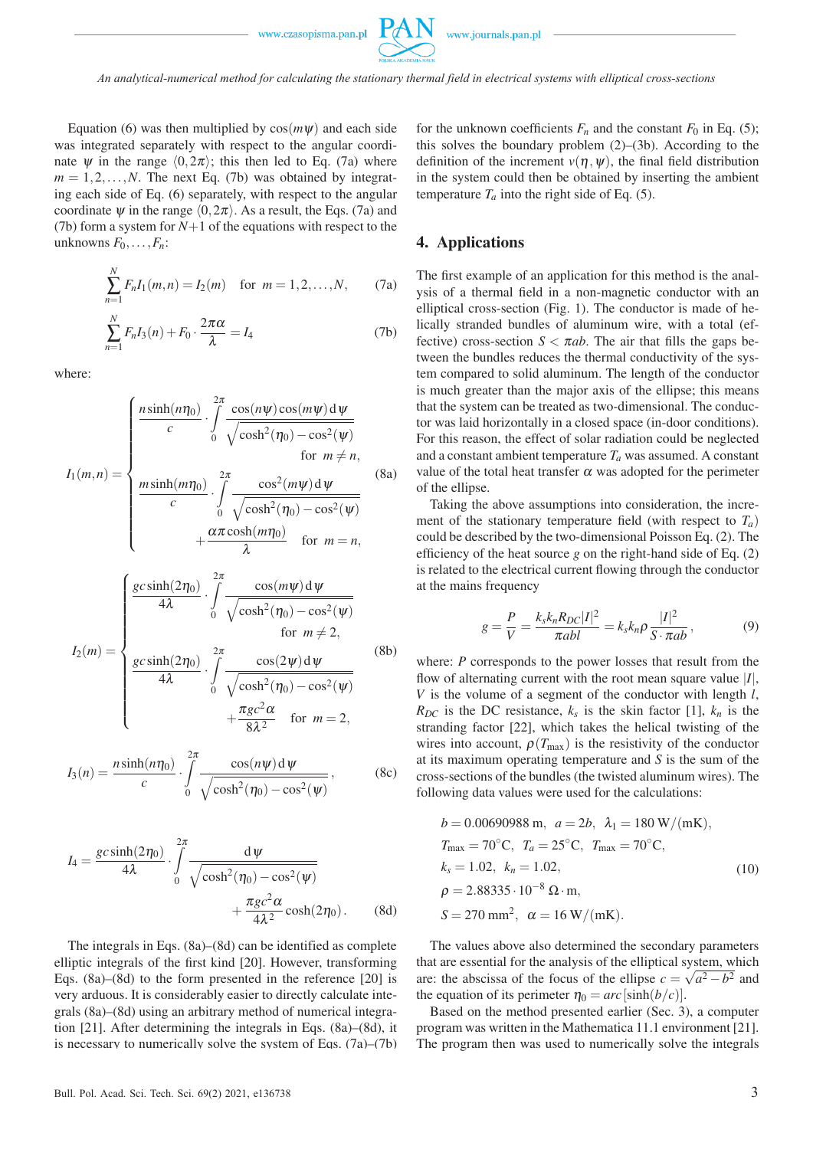

Equation (6) was then multiplied by  $cos(m\psi)$  and each side was integrated separately with respect to the angular coordinate  $\psi$  in the range  $(0,2\pi)$ ; this then led to Eq. (7a) where  $m = 1, 2, \ldots, N$ . The next Eq. (7b) was obtained by integrating each side of Eq. (6) separately, with respect to the angular coordinate  $\psi$  in the range  $\langle 0, 2\pi \rangle$ . As a result, the Eqs. (7a) and (7b) form a system for *N*+1 of the equations with respect to the unknowns  $F_0, \ldots, F_n$ :

$$
\sum_{n=1}^{N} F_n I_1(m, n) = I_2(m) \text{ for } m = 1, 2, ..., N,
$$
 (7a)

$$
\sum_{n=1}^{N} F_n I_3(n) + F_0 \cdot \frac{2\pi\alpha}{\lambda} = I_4
$$
 (7b)

where:

$$
I_1(m,n) = \begin{cases} \frac{n \sinh(n\eta_0)}{c} \cdot \int_0^{2\pi} \frac{\cos(n\psi)\cos(m\psi) d\psi}{\sqrt{\cosh^2(\eta_0) - \cos^2(\psi)}} & \text{for } m \neq n, \\ \frac{m \sinh(m\eta_0)}{c} \cdot \int_0^{2\pi} \frac{\cos^2(m\psi) d\psi}{\sqrt{\cosh^2(\eta_0) - \cos^2(\psi)}} & \text{(8a)} \\ +\frac{\alpha \pi \cosh(m\eta_0)}{\lambda} & \text{for } m = n, \end{cases}
$$

$$
I_2(m) = \begin{cases} \frac{gc \sinh(2\eta_0)}{4\lambda} \cdot \int_0^{2\pi} \frac{\cos(m\psi) d\psi}{\sqrt{\cosh^2(\eta_0) - \cos^2(\psi)}} & \text{for } m \neq 2, \\ \frac{gc \sinh(2\eta_0)}{4\lambda} \cdot \int_0^{2\pi} \frac{\cos(2\psi) d\psi}{\sqrt{\cosh^2(\eta_0) - \cos^2(\psi)}} & \text{(8b)} \\ + \frac{\pi gc^2 \alpha}{8\lambda^2} & \text{for } m = 2, \end{cases}
$$

$$
I_3(n) = \frac{n \sinh(n\eta_0)}{c} \cdot \int\limits_0^{2\pi} \frac{\cos(n\psi) \, \mathrm{d}\,\psi}{\sqrt{\cosh^2(\eta_0) - \cos^2(\psi)}},\tag{8c}
$$

$$
I_4 = \frac{gc\sinh(2\eta_0)}{4\lambda} \cdot \int\limits_0^{2\pi} \frac{d\,\psi}{\sqrt{\cosh^2(\eta_0) - \cos^2(\psi)}} + \frac{\pi gc^2\alpha}{4\lambda^2}\cosh(2\eta_0). \tag{8d}
$$

The integrals in Eqs. (8a)–(8d) can be identified as complete elliptic integrals of the first kind [20]. However, transforming Eqs. (8a)–(8d) to the form presented in the reference [20] is very arduous. It is considerably easier to directly calculate integrals (8a)–(8d) using an arbitrary method of numerical integration [21]. After determining the integrals in Eqs. (8a)–(8d), it is necessary to numerically solve the system of Eqs. (7a)–(7b) for the unknown coefficients  $F_n$  and the constant  $F_0$  in Eq. (5); this solves the boundary problem (2)–(3b). According to the definition of the increment  $v(\eta, \psi)$ , the final field distribution in the system could then be obtained by inserting the ambient temperature  $T_a$  into the right side of Eq. (5).

#### 4. Applications

The first example of an application for this method is the analysis of a thermal field in a non-magnetic conductor with an elliptical cross-section (Fig. 1). The conductor is made of helically stranded bundles of aluminum wire, with a total (effective) cross-section  $S < \pi ab$ . The air that fills the gaps between the bundles reduces the thermal conductivity of the system compared to solid aluminum. The length of the conductor is much greater than the major axis of the ellipse; this means that the system can be treated as two-dimensional. The conductor was laid horizontally in a closed space (in-door conditions). For this reason, the effect of solar radiation could be neglected and a constant ambient temperature  $T_a$  was assumed. A constant value of the total heat transfer  $\alpha$  was adopted for the perimeter of the ellipse.

Taking the above assumptions into consideration, the increment of the stationary temperature field (with respect to  $T_a$ ) could be described by the two-dimensional Poisson Eq. (2). The efficiency of the heat source *g* on the right-hand side of Eq. (2) is related to the electrical current flowing through the conductor at the mains frequency

$$
g = \frac{P}{V} = \frac{k_s k_n R_{DC} |I|^2}{\pi ab l} = k_s k_n \rho \frac{|I|^2}{S \cdot \pi ab},
$$
(9)

where: *P* corresponds to the power losses that result from the flow of alternating current with the root mean square value |*I*|, *V* is the volume of a segment of the conductor with length *l*,  $R_{DC}$  is the DC resistance,  $k_s$  is the skin factor [1],  $k_n$  is the stranding factor [22], which takes the helical twisting of the wires into account,  $\rho(T_{\text{max}})$  is the resistivity of the conductor at its maximum operating temperature and *S* is the sum of the cross-sections of the bundles (the twisted aluminum wires). The following data values were used for the calculations:

$$
b = 0.00690988 \text{ m}, \ a = 2b, \ \lambda_1 = 180 \text{ W/(mK)},
$$
  
\n
$$
T_{\text{max}} = 70^{\circ} \text{C}, \ T_a = 25^{\circ} \text{C}, \ T_{\text{max}} = 70^{\circ} \text{C},
$$
  
\n
$$
k_s = 1.02, \ k_n = 1.02,
$$
  
\n
$$
\rho = 2.88335 \cdot 10^{-8} \ \Omega \cdot \text{m},
$$
  
\n
$$
S = 270 \text{ mm}^2, \ \alpha = 16 \text{ W/(mK)}.
$$
  
\n(10)

The values above also determined the secondary parameters that are essential for the analysis of the elliptical system, which are: the abscissa of the focus of the ellipse  $c = \sqrt{a^2 - b^2}$  and the equation of its perimeter  $\eta_0 = arc$  [sinh(*b*/*c*)].

Based on the method presented earlier (Sec. 3), a computer program was written in the Mathematica 11.1 environment [21]. The program then was used to numerically solve the integrals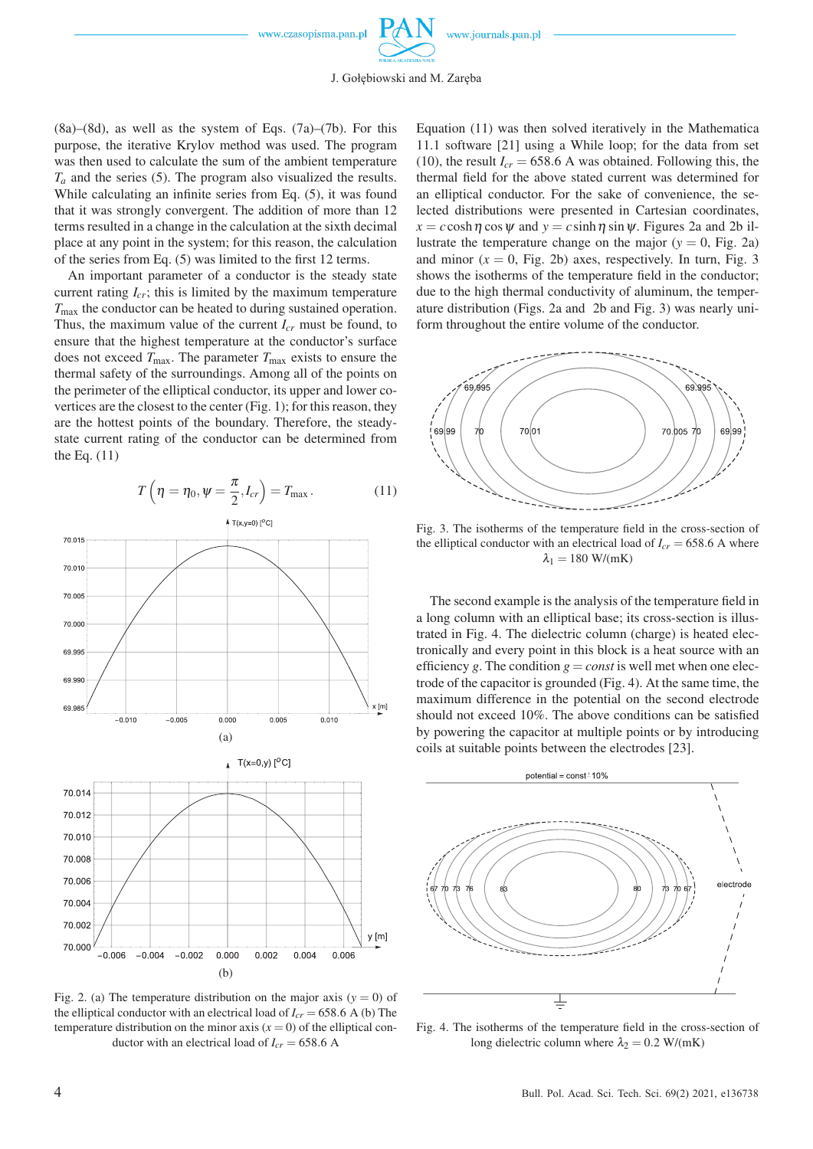

J. Gołębiowski and M. Zaręba

 $(8a)$ – $(8d)$ , as well as the system of Eqs.  $(7a)$ – $(7b)$ . For this purpose, the iterative Krylov method was used. The program was then used to calculate the sum of the ambient temperature  $T_a$  and the series (5). The program also visualized the results. While calculating an infinite series from Eq. (5), it was found that it was strongly convergent. The addition of more than 12 terms resulted in a change in the calculation at the sixth decimal place at any point in the system; for this reason, the calculation of the series from Eq. (5) was limited to the first 12 terms.

An important parameter of a conductor is the steady state current rating  $I_{cr}$ ; this is limited by the maximum temperature *T*max the conductor can be heated to during sustained operation. Thus, the maximum value of the current *Icr* must be found, to ensure that the highest temperature at the conductor's surface does not exceed  $T_{\text{max}}$ . The parameter  $T_{\text{max}}$  exists to ensure the thermal safety of the surroundings. Among all of the points on the perimeter of the elliptical conductor, its upper and lower covertices are the closest to the center (Fig. 1); for this reason, they are the hottest points of the boundary. Therefore, the steadystate current rating of the conductor can be determined from the Eq. (11)





Fig. 2. (a) The temperature distribution on the major axis  $(y = 0)$  of the elliptical conductor with an electrical load of  $I_{cr}$  = 658.6 A (b) The temperature distribution on the minor axis  $(x = 0)$  of the elliptical conductor with an electrical load of  $I_{cr} = 658.6$  A

Equation (11) was then solved iteratively in the Mathematica 11.1 software [21] using a While loop; for the data from set (10), the result  $I_{cr} = 658.6$  A was obtained. Following this, the thermal field for the above stated current was determined for an elliptical conductor. For the sake of convenience, the selected distributions were presented in Cartesian coordinates,  $x = c \cosh \eta \cos \psi$  and  $y = c \sinh \eta \sin \psi$ . Figures 2a and 2b illustrate the temperature change on the major  $(y = 0, F$ ig. 2a) and minor  $(x = 0,$  Fig. 2b) axes, respectively. In turn, Fig. 3 shows the isotherms of the temperature field in the conductor; due to the high thermal conductivity of aluminum, the temperature distribution (Figs. 2a and 2b and Fig. 3) was nearly uniform throughout the entire volume of the conductor.



Fig. 3. The isotherms of the temperature field in the cross-section of the elliptical conductor with an electrical load of  $I_{cr} = 658.6$  A where  $\lambda_1 = 180 \text{ W/(mK)}$ 

The second example is the analysis of the temperature field in a long column with an elliptical base; its cross-section is illustrated in Fig. 4. The dielectric column (charge) is heated electronically and every point in this block is a heat source with an efficiency g. The condition  $g = const$  is well met when one electrode of the capacitor is grounded (Fig. 4). At the same time, the maximum difference in the potential on the second electrode should not exceed 10%. The above conditions can be satisfied by powering the capacitor at multiple points or by introducing coils at suitable points between the electrodes [23].



Fig. 4. The isotherms of the temperature field in the cross-section of long dielectric column where  $\lambda_2 = 0.2$  W/(mK)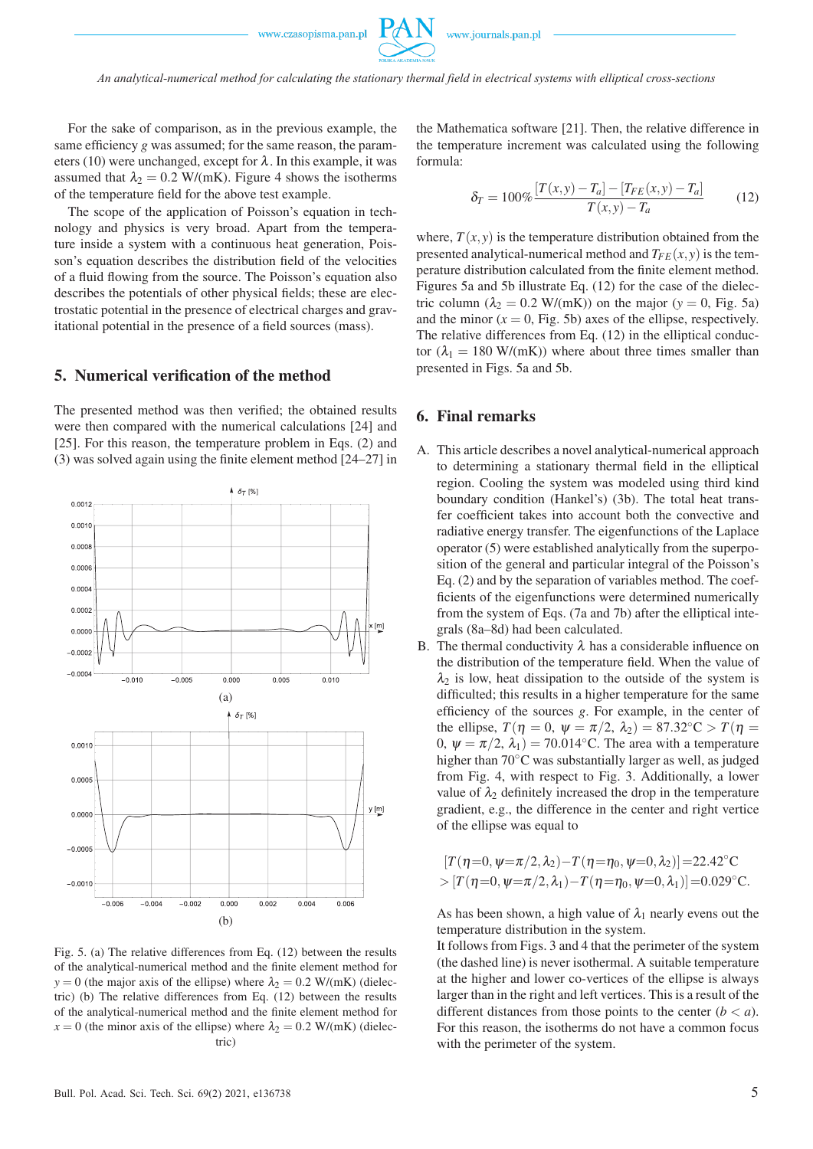For the sake of comparison, as in the previous example, the same efficiency *g* was assumed; for the same reason, the parameters (10) were unchanged, except for  $\lambda$ . In this example, it was assumed that  $\lambda_2 = 0.2$  W/(mK). Figure 4 shows the isotherms of the temperature field for the above test example.

The scope of the application of Poisson's equation in technology and physics is very broad. Apart from the temperature inside a system with a continuous heat generation, Poisson's equation describes the distribution field of the velocities of a fluid flowing from the source. The Poisson's equation also describes the potentials of other physical fields; these are electrostatic potential in the presence of electrical charges and gravitational potential in the presence of a field sources (mass).

#### 5. Numerical verification of the method

The presented method was then verified; the obtained results were then compared with the numerical calculations [24] and [25]. For this reason, the temperature problem in Eqs. (2) and (3) was solved again using the finite element method [24–27] in



Fig. 5. (a) The relative differences from Eq. (12) between the results of the analytical-numerical method and the finite element method for  $y = 0$  (the major axis of the ellipse) where  $\lambda_2 = 0.2$  W/(mK) (dielectric) (b) The relative differences from Eq. (12) between the results of the analytical-numerical method and the finite element method for  $x = 0$  (the minor axis of the ellipse) where  $\lambda_2 = 0.2$  W/(mK) (dielectric)

the Mathematica software [21]. Then, the relative difference in the temperature increment was calculated using the following formula:

$$
\delta_T = 100\% \frac{[T(x, y) - T_a] - [T_{FE}(x, y) - T_a]}{T(x, y) - T_a}
$$
(12)

where,  $T(x, y)$  is the temperature distribution obtained from the presented analytical-numerical method and  $T_{FE}(x, y)$  is the temperature distribution calculated from the finite element method. Figures 5a and 5b illustrate Eq. (12) for the case of the dielectric column  $(\lambda_2 = 0.2 \text{ W/(mK)})$  on the major  $(y = 0, \text{ Fig. 5a})$ and the minor  $(x = 0, Fig. 5b)$  axes of the ellipse, respectively. The relative differences from Eq. (12) in the elliptical conductor  $(\lambda_1 = 180 \text{ W/(mK)})$  where about three times smaller than presented in Figs. 5a and 5b.

#### 6. Final remarks

- A. This article describes a novel analytical-numerical approach to determining a stationary thermal field in the elliptical region. Cooling the system was modeled using third kind boundary condition (Hankel's) (3b). The total heat transfer coefficient takes into account both the convective and radiative energy transfer. The eigenfunctions of the Laplace operator (5) were established analytically from the superposition of the general and particular integral of the Poisson's Eq. (2) and by the separation of variables method. The coefficients of the eigenfunctions were determined numerically from the system of Eqs. (7a and 7b) after the elliptical integrals (8a–8d) had been calculated.
- B. The thermal conductivity  $\lambda$  has a considerable influence on the distribution of the temperature field. When the value of  $\lambda_2$  is low, heat dissipation to the outside of the system is difficulted; this results in a higher temperature for the same efficiency of the sources *g*. For example, in the center of the ellipse,  $T(\eta = 0, \psi = \pi/2, \lambda_2) = 87.32$ °C >  $T(\eta =$ 0,  $\psi = \pi/2$ ,  $\lambda_1$ ) = 70.014<sup>°</sup>C. The area with a temperature higher than 70◦C was substantially larger as well, as judged from Fig. 4, with respect to Fig. 3. Additionally, a lower value of  $\lambda_2$  definitely increased the drop in the temperature gradient, e.g., the difference in the center and right vertice of the ellipse was equal to

$$
[T(\eta=0, \psi=\pi/2, \lambda_2)-T(\eta=\eta_0, \psi=0, \lambda_2)]=22.42^{\circ}\text{C}>[T(\eta=0, \psi=\pi/2, \lambda_1)-T(\eta=\eta_0, \psi=0, \lambda_1)]=0.029^{\circ}\text{C}.
$$

As has been shown, a high value of  $\lambda_1$  nearly evens out the temperature distribution in the system.

It follows from Figs. 3 and 4 that the perimeter of the system (the dashed line) is never isothermal. A suitable temperature at the higher and lower co-vertices of the ellipse is always larger than in the right and left vertices. This is a result of the different distances from those points to the center  $(b < a)$ . For this reason, the isotherms do not have a common focus with the perimeter of the system.